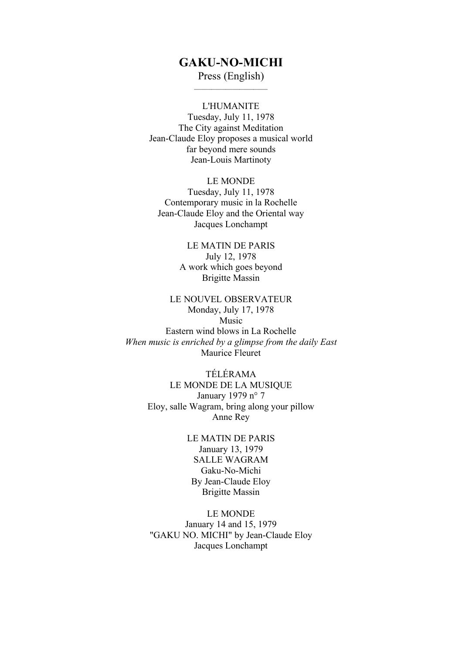## **GAKU-NO-MICHI**

Press (English)

L'HUMANITE Tuesday, July 11, 1978 The City against Meditation Jean-Claude Eloy proposes a musical world far beyond mere sounds Jean-Louis Martinoty

LE MONDE Tuesday, July 11, 1978 Contemporary music in la Rochelle Jean-Claude Eloy and the Oriental way Jacques Lonchampt

> LE MATIN DE PARIS July 12, 1978 A work which goes beyond Brigitte Massin

## LE NOUVEL OBSERVATEUR Monday, July 17, 1978 Music Eastern wind blows in La Rochelle *When music is enriched by a glimpse from the daily East* Maurice Fleuret

TÉLÉRAMA LE MONDE DE LA MUSIQUE January 1979 n° 7 Eloy, salle Wagram, bring along your pillow Anne Rey

> LE MATIN DE PARIS January 13, 1979 SALLE WAGRAM Gaku-No-Michi By Jean-Claude Eloy Brigitte Massin

LE MONDE January 14 and 15, 1979 "GAKU NO. MICHI" by Jean-Claude Eloy Jacques Lonchampt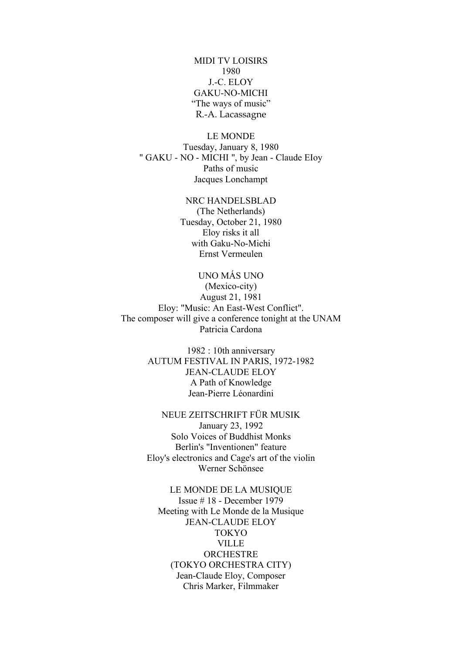MIDI TV LOISIRS 1980 J.-C. ELOY GAKU-NO-MICHI "The ways of music" R.-A. Lacassagne

LE MONDE Tuesday, January 8, 1980 " GAKU - NO - MICHI ", by Jean - Claude EIoy Paths of music Jacques Lonchampt

> NRC HANDELSBLAD (The Netherlands) Tuesday, October 21, 1980 Eloy risks it all with Gaku-No-Michi Ernst Vermeulen

#### UNO MÁS UNO

(Mexico-city) August 21, 1981 Eloy: "Music: An East-West Conflict". The composer will give a conference tonight at the UNAM Patricia Cardona

> 1982 : 10th anniversary AUTUM FESTIVAL IN PARIS, 1972-1982 JEAN-CLAUDE ELOY A Path of Knowledge Jean-Pierre Léonardini

NEUE ZEITSCHRIFT FÜR MUSIK January 23, 1992 Solo Voices of Buddhist Monks Berlin's "Inventionen" feature Eloy's electronics and Cage's art of the violin Werner Schönsee

LE MONDE DE LA MUSIQUE Issue # 18 - December 1979 Meeting with Le Monde de la Musique JEAN-CLAUDE ELOY TOKYO **VILLE ORCHESTRE** (TOKYO ORCHESTRA CITY) Jean-Claude Eloy, Composer Chris Marker, Filmmaker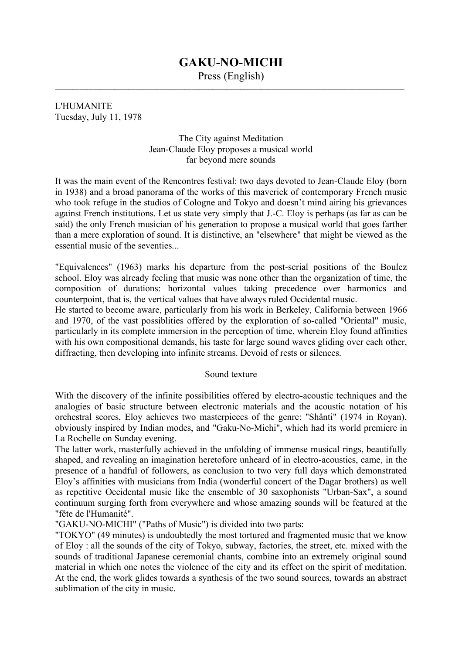# **GAKU-NO-MICHI**

Press (English)

L'HUMANITE Tuesday, July 11, 1978

> The City against Meditation Jean-Claude Eloy proposes a musical world far beyond mere sounds

It was the main event of the Rencontres festival: two days devoted to Jean-Claude Eloy (born in 1938) and a broad panorama of the works of this maverick of contemporary French music who took refuge in the studios of Cologne and Tokyo and doesn't mind airing his grievances against French institutions. Let us state very simply that J.-C. Eloy is perhaps (as far as can be said) the only French musician of his generation to propose a musical world that goes farther than a mere exploration of sound. It is distinctive, an "elsewhere" that might be viewed as the essential music of the seventies...

"Equivalences" (1963) marks his departure from the post-serial positions of the Boulez school. Eloy was already feeling that music was none other than the organization of time, the composition of durations: horizontal values taking precedence over harmonics and counterpoint, that is, the vertical values that have always ruled Occidental music.

He started to become aware, particularly from his work in Berkeley, California between 1966 and 1970, of the vast possiblities offered by the exploration of so-called "Oriental" music, particularly in its complete immersion in the perception of time, wherein Eloy found affinities with his own compositional demands, his taste for large sound waves gliding over each other, diffracting, then developing into infinite streams. Devoid of rests or silences.

## Sound texture

With the discovery of the infinite possibilities offered by electro-acoustic techniques and the analogies of basic structure between electronic materials and the acoustic notation of his orchestral scores, Eloy achieves two masterpieces of the genre: "Shânti" (1974 in Royan), obviously inspired by Indian modes, and "Gaku-No-Michi", which had its world premiere in La Rochelle on Sunday evening.

The latter work, masterfully achieved in the unfolding of immense musical rings, beautifully shaped, and revealing an imagination heretofore unheard of in electro-acoustics, came, in the presence of a handful of followers, as conclusion to two very full days which demonstrated Eloy's affinities with musicians from India (wonderful concert of the Dagar brothers) as well as repetitive Occidental music like the ensemble of 30 saxophonists "Urban-Sax", a sound continuum surging forth from everywhere and whose amazing sounds will be featured at the "fête de l'Humanité".

"GAKU-NO-MICHI" ("Paths of Music") is divided into two parts:

"TOKYO" (49 minutes) is undoubtedly the most tortured and fragmented music that we know of Eloy : all the sounds of the city of Tokyo, subway, factories, the street, etc. mixed with the sounds of traditional Japanese ceremonial chants, combine into an extremely original sound material in which one notes the violence of the city and its effect on the spirit of meditation. At the end, the work glides towards a synthesis of the two sound sources, towards an abstract sublimation of the city in music.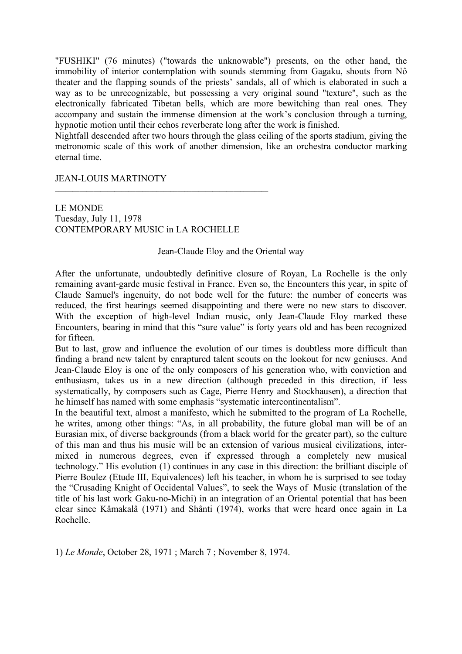"FUSHIKI" (76 minutes) ("towards the unknowable") presents, on the other hand, the immobility of interior contemplation with sounds stemming from Gagaku, shouts from Nô theater and the flapping sounds of the priests' sandals, all of which is elaborated in such a way as to be unrecognizable, but possessing a very original sound "texture", such as the electronically fabricated Tibetan bells, which are more bewitching than real ones. They accompany and sustain the immense dimension at the work's conclusion through a turning, hypnotic motion until their echos reverberate long after the work is finished.

Nightfall descended after two hours through the glass ceiling of the sports stadium, giving the metronomic scale of this work of another dimension, like an orchestra conductor marking eternal time.

JEAN-LOUIS MARTINOTY

LE MONDE Tuesday, July 11, 1978 CONTEMPORARY MUSIC in LA ROCHELLE

## Jean-Claude Eloy and the Oriental way

After the unfortunate, undoubtedly definitive closure of Royan, La Rochelle is the only remaining avant-garde music festival in France. Even so, the Encounters this year, in spite of Claude Samuel's ingenuity, do not bode well for the future: the number of concerts was reduced, the first hearings seemed disappointing and there were no new stars to discover. With the exception of high-level Indian music, only Jean-Claude Eloy marked these Encounters, bearing in mind that this "sure value" is forty years old and has been recognized for fifteen.

But to last, grow and influence the evolution of our times is doubtless more difficult than finding a brand new talent by enraptured talent scouts on the lookout for new geniuses. And Jean-Claude Eloy is one of the only composers of his generation who, with conviction and enthusiasm, takes us in a new direction (although preceded in this direction, if less systematically, by composers such as Cage, Pierre Henry and Stockhausen), a direction that he himself has named with some emphasis "systematic intercontinentalism".

In the beautiful text, almost a manifesto, which he submitted to the program of La Rochelle, he writes, among other things: "As, in all probability, the future global man will be of an Eurasian mix, of diverse backgrounds (from a black world for the greater part), so the culture of this man and thus his music will be an extension of various musical civilizations, intermixed in numerous degrees, even if expressed through a completely new musical technology." His evolution (1) continues in any case in this direction: the brilliant disciple of Pierre Boulez (Etude III, Equivalences) left his teacher, in whom he is surprised to see today the "Crusading Knight of Occidental Values", to seek the Ways of Music (translation of the title of his last work Gaku-no-Michi) in an integration of an Oriental potential that has been clear since Kâmakalâ (1971) and Shânti (1974), works that were heard once again in La Rochelle.

1) *Le Monde*, October 28, 1971 ; March 7 ; November 8, 1974.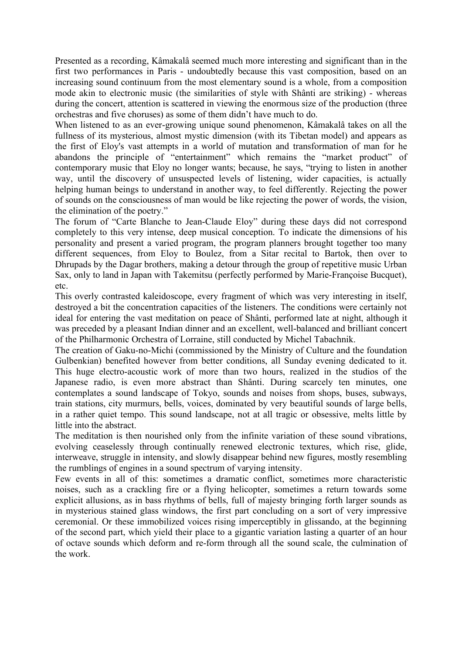Presented as a recording, Kâmakalâ seemed much more interesting and significant than in the first two performances in Paris - undoubtedly because this vast composition, based on an increasing sound continuum from the most elementary sound is a whole, from a composition mode akin to electronic music (the similarities of style with Shânti are striking) - whereas during the concert, attention is scattered in viewing the enormous size of the production (three orchestras and five choruses) as some of them didn't have much to do.

When listened to as an ever-growing unique sound phenomenon, Kâmakalâ takes on all the fullness of its mysterious, almost mystic dimension (with its Tibetan model) and appears as the first of Eloy's vast attempts in a world of mutation and transformation of man for he abandons the principle of "entertainment" which remains the "market product" of contemporary music that Eloy no longer wants; because, he says, "trying to listen in another way, until the discovery of unsuspected levels of listening, wider capacities, is actually helping human beings to understand in another way, to feel differently. Rejecting the power of sounds on the consciousness of man would be like rejecting the power of words, the vision, the elimination of the poetry."

The forum of "Carte Blanche to Jean-Claude Eloy" during these days did not correspond completely to this very intense, deep musical conception. To indicate the dimensions of his personality and present a varied program, the program planners brought together too many different sequences, from Eloy to Boulez, from a Sitar recital to Bartok, then over to Dhrupads by the Dagar brothers, making a detour through the group of repetitive music Urban Sax, only to land in Japan with Takemitsu (perfectly performed by Marie-Françoise Bucquet), etc.

This overly contrasted kaleidoscope, every fragment of which was very interesting in itself, destroyed a bit the concentration capacities of the listeners. The conditions were certainly not ideal for entering the vast meditation on peace of Shânti, performed late at night, although it was preceded by a pleasant Indian dinner and an excellent, well-balanced and brilliant concert of the Philharmonic Orchestra of Lorraine, still conducted by Michel Tabachnik.

The creation of Gaku-no-Michi (commissioned by the Ministry of Culture and the foundation Gulbenkian) benefited however from better conditions, all Sunday evening dedicated to it. This huge electro-acoustic work of more than two hours, realized in the studios of the Japanese radio, is even more abstract than Shânti. During scarcely ten minutes, one contemplates a sound landscape of Tokyo, sounds and noises from shops, buses, subways, train stations, city murmurs, bells, voices, dominated by very beautiful sounds of large bells, in a rather quiet tempo. This sound landscape, not at all tragic or obsessive, melts little by little into the abstract.

The meditation is then nourished only from the infinite variation of these sound vibrations, evolving ceaselessly through continually renewed electronic textures, which rise, glide, interweave, struggle in intensity, and slowly disappear behind new figures, mostly resembling the rumblings of engines in a sound spectrum of varying intensity.

Few events in all of this: sometimes a dramatic conflict, sometimes more characteristic noises, such as a crackling fire or a flying helicopter, sometimes a return towards some explicit allusions, as in bass rhythms of bells, full of majesty bringing forth larger sounds as in mysterious stained glass windows, the first part concluding on a sort of very impressive ceremonial. Or these immobilized voices rising imperceptibly in glissando, at the beginning of the second part, which yield their place to a gigantic variation lasting a quarter of an hour of octave sounds which deform and re-form through all the sound scale, the culmination of the work.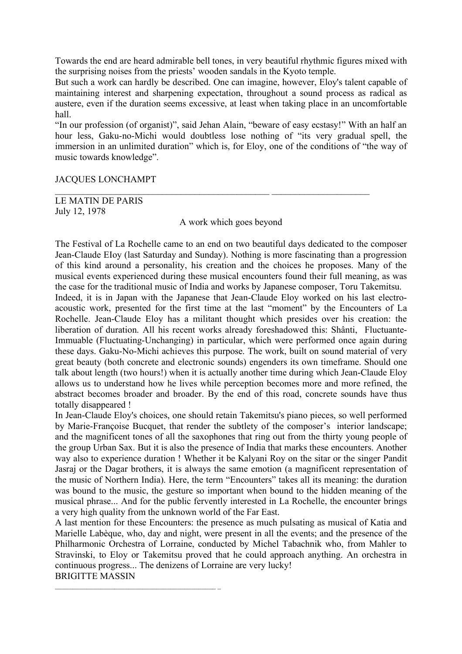Towards the end are heard admirable bell tones, in very beautiful rhythmic figures mixed with the surprising noises from the priests' wooden sandals in the Kyoto temple.

But such a work can hardly be described. One can imagine, however, Eloy's talent capable of maintaining interest and sharpening expectation, throughout a sound process as radical as austere, even if the duration seems excessive, at least when taking place in an uncomfortable hall.

"In our profession (of organist)", said Jehan Alain, "beware of easy ecstasy!" With an half an hour less, Gaku-no-Michi would doubtless lose nothing of "its very gradual spell, the immersion in an unlimited duration" which is, for Eloy, one of the conditions of "the way of music towards knowledge".

## JACQUES LONCHAMPT

LE MATIN DE PARIS July 12, 1978

A work which goes beyond

 $\mathcal{L}_\text{max} = \frac{1}{2} \sum_{i=1}^{n} \frac{1}{2} \sum_{i=1}^{n} \frac{1}{2} \sum_{i=1}^{n} \frac{1}{2} \sum_{i=1}^{n} \frac{1}{2} \sum_{i=1}^{n} \frac{1}{2} \sum_{i=1}^{n} \frac{1}{2} \sum_{i=1}^{n} \frac{1}{2} \sum_{i=1}^{n} \frac{1}{2} \sum_{i=1}^{n} \frac{1}{2} \sum_{i=1}^{n} \frac{1}{2} \sum_{i=1}^{n} \frac{1}{2} \sum_{i=1}^{n} \frac{1$ 

The Festival of La Rochelle came to an end on two beautiful days dedicated to the composer Jean-Claude EIoy (last Saturday and Sunday). Nothing is more fascinating than a progression of this kind around a personality, his creation and the choices he proposes. Many of the musical events experienced during these musical encounters found their full meaning, as was the case for the traditional music of India and works by Japanese composer, Toru Takemitsu.

Indeed, it is in Japan with the Japanese that Jean-Claude Eloy worked on his last electroacoustic work, presented for the first time at the last "moment" by the Encounters of La Rochelle. Jean-Claude Eloy has a militant thought which presides over his creation: the liberation of duration. All his recent works already foreshadowed this: Shânti, Fluctuante-Immuable (Fluctuating-Unchanging) in particular, which were performed once again during these days. Gaku-No-Michi achieves this purpose. The work, built on sound material of very great beauty (both concrete and electronic sounds) engenders its own timeframe. Should one talk about length (two hours!) when it is actually another time during which Jean-Claude Eloy allows us to understand how he lives while perception becomes more and more refined, the abstract becomes broader and broader. By the end of this road, concrete sounds have thus totally disappeared !

In Jean-Claude Eloy's choices, one should retain Takemitsu's piano pieces, so well performed by Marie-Françoise Bucquet, that render the subtlety of the composer's interior landscape; and the magnificent tones of all the saxophones that ring out from the thirty young people of the group Urban Sax. But it is also the presence of India that marks these encounters. Another way also to experience duration ! Whether it be Kalyani Roy on the sitar or the singer Pandit Jasraj or the Dagar brothers, it is always the same emotion (a magnificent representation of the music of Northern India). Here, the term "Encounters" takes all its meaning: the duration was bound to the music, the gesture so important when bound to the hidden meaning of the musical phrase... And for the public fervently interested in La Rochelle, the encounter brings a very high quality from the unknown world of the Far East.

A last mention for these Encounters: the presence as much pulsating as musical of Katia and Marielle Labèque, who, day and night, were present in all the events; and the presence of the Philharmonic Orchestra of Lorraine, conducted by Michel Tabachnik who, from Mahler to Stravinski, to Eloy or Takemitsu proved that he could approach anything. An orchestra in continuous progress... The denizens of Lorraine are very lucky! BRIGITTE MASSIN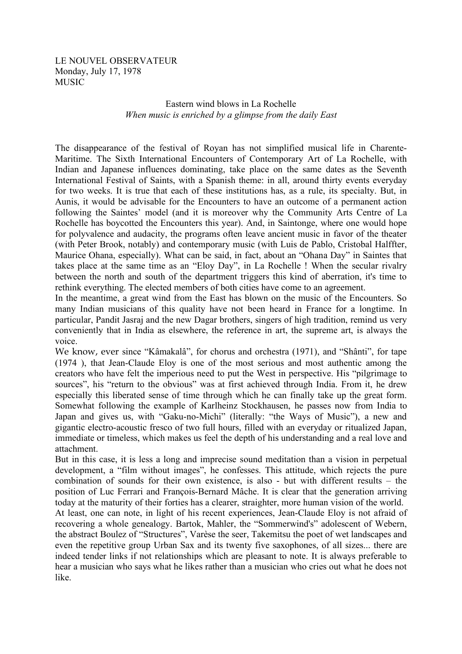## LE NOUVEL OBSERVATEUR Monday, July 17, 1978 MUSIC

## Eastern wind blows in La Rochelle *When music is enriched by a glimpse from the daily East*

The disappearance of the festival of Royan has not simplified musical life in Charente-Maritime. The Sixth International Encounters of Contemporary Art of La Rochelle, with Indian and Japanese influences dominating, take place on the same dates as the Seventh International Festival of Saints, with a Spanish theme: in all, around thirty events everyday for two weeks. It is true that each of these institutions has, as a rule, its specialty. But, in Aunis, it would be advisable for the Encounters to have an outcome of a permanent action following the Saintes' model (and it is moreover why the Community Arts Centre of La Rochelle has boycotted the Encounters this year). And, in Saintonge, where one would hope for polyvalence and audacity, the programs often leave ancient music in favor of the theater (with Peter Brook, notably) and contemporary music (with Luis de Pablo, Cristobal Halffter, Maurice Ohana, especially). What can be said, in fact, about an "Ohana Day" in Saintes that takes place at the same time as an "Eloy Day", in La Rochelle ! When the secular rivalry between the north and south of the department triggers this kind of aberration, it's time to rethink everything. The elected members of both cities have come to an agreement.

In the meantime, a great wind from the East has blown on the music of the Encounters. So many Indian musicians of this quality have not been heard in France for a longtime. In particular, Pandit Jasraj and the new Dagar brothers, singers of high tradition, remind us very conveniently that in India as elsewhere, the reference in art, the supreme art, is always the voice.

We know, ever since "Kâmakalâ", for chorus and orchestra (1971), and "Shânti", for tape (1974 ), that Jean-Claude Eloy is one of the most serious and most authentic among the creators who have felt the imperious need to put the West in perspective. His "pilgrimage to sources", his "return to the obvious" was at first achieved through India. From it, he drew especially this liberated sense of time through which he can finally take up the great form. Somewhat following the example of Karlheinz Stockhausen, he passes now from India to Japan and gives us, with "Gaku-no-Michi" (literally: "the Ways of Music"), a new and gigantic electro-acoustic fresco of two full hours, filled with an everyday or ritualized Japan, immediate or timeless, which makes us feel the depth of his understanding and a real love and attachment.

But in this case, it is less a long and imprecise sound meditation than a vision in perpetual development, a "film without images", he confesses. This attitude, which rejects the pure combination of sounds for their own existence, is also - but with different results – the position of Luc Ferrari and François-Bernard Mâche. It is clear that the generation arriving today at the maturity of their forties has a clearer, straighter, more human vision of the world.

At least, one can note, in light of his recent experiences, Jean-Claude Eloy is not afraid of recovering a whole genealogy. Bartok, Mahler, the "Sommerwind's" adolescent of Webern, the abstract Boulez of "Structures", Varèse the seer, Takemitsu the poet of wet landscapes and even the repetitive group Urban Sax and its twenty five saxophones, of all sizes... there are indeed tender links if not relationships which are pleasant to note. It is always preferable to hear a musician who says what he likes rather than a musician who cries out what he does not like.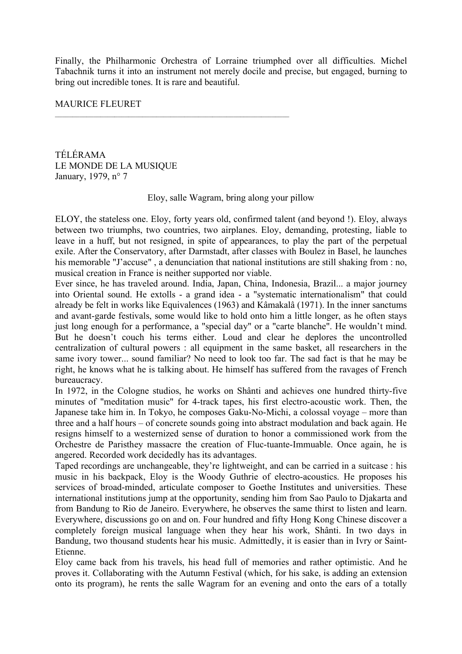Finally, the Philharmonic Orchestra of Lorraine triumphed over all difficulties. Michel Tabachnik turns it into an instrument not merely docile and precise, but engaged, burning to bring out incredible tones. It is rare and beautiful.

## MAURICE FLEURET

TÉLÉRAMA LE MONDE DE LA MUSIQUE January, 1979, n° 7

## Eloy, salle Wagram, bring along your pillow

ELOY, the stateless one. Eloy, forty years old, confirmed talent (and beyond !). Eloy, always between two triumphs, two countries, two airplanes. Eloy, demanding, protesting, liable to leave in a huff, but not resigned, in spite of appearances, to play the part of the perpetual exile. After the Conservatory, after Darmstadt, after classes with Boulez in Basel, he launches his memorable "J'accuse", a denunciation that national institutions are still shaking from : no, musical creation in France is neither supported nor viable.

Ever since, he has traveled around. India, Japan, China, Indonesia, Brazil... a major journey into Oriental sound. He extolls - a grand idea - a "systematic internationalism" that could already be felt in works like Equivalences (1963) and Kâmakalâ (1971). In the inner sanctums and avant-garde festivals, some would like to hold onto him a little longer, as he often stays just long enough for a performance, a "special day" or a "carte blanche". He wouldn't mind. But he doesn't couch his terms either. Loud and clear he deplores the uncontrolled centralization of cultural powers : all equipment in the same basket, all researchers in the same ivory tower... sound familiar? No need to look too far. The sad fact is that he may be right, he knows what he is talking about. He himself has suffered from the ravages of French bureaucracy.

In 1972, in the Cologne studios, he works on Shânti and achieves one hundred thirty-five minutes of "meditation music" for 4-track tapes, his first electro-acoustic work. Then, the Japanese take him in. In Tokyo, he composes Gaku-No-Michi, a colossal voyage – more than three and a half hours – of concrete sounds going into abstract modulation and back again. He resigns himself to a westernized sense of duration to honor a commissioned work from the Orchestre de Paristhey massacre the creation of Fluc-tuante-Immuable. Once again, he is angered. Recorded work decidedly has its advantages.

Taped recordings are unchangeable, they're lightweight, and can be carried in a suitcase : his music in his backpack, Eloy is the Woody Guthrie of electro-acoustics. He proposes his services of broad-minded, articulate composer to Goethe Institutes and universities. These international institutions jump at the opportunity, sending him from Sao Paulo to Djakarta and from Bandung to Rio de Janeiro. Everywhere, he observes the same thirst to listen and learn. Everywhere, discussions go on and on. Four hundred and fifty Hong Kong Chinese discover a completely foreign musical language when they hear his work, Shânti. In two days in Bandung, two thousand students hear his music. Admittedly, it is easier than in Ivry or Saint-Etienne.

Eloy came back from his travels, his head full of memories and rather optimistic. And he proves it. Collaborating with the Autumn Festival (which, for his sake, is adding an extension onto its program), he rents the salle Wagram for an evening and onto the ears of a totally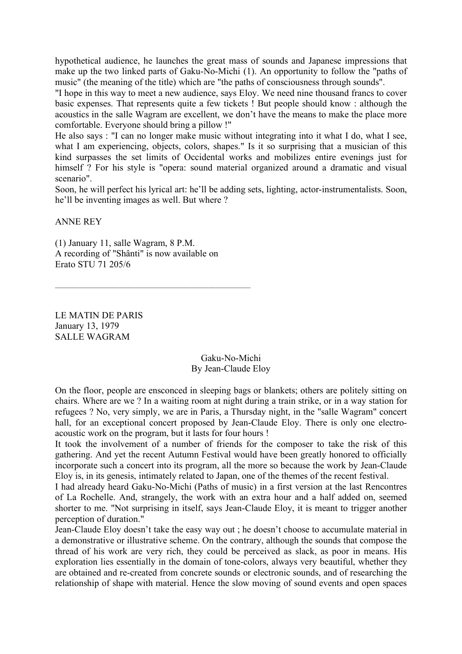hypothetical audience, he launches the great mass of sounds and Japanese impressions that make up the two linked parts of Gaku-No-Michi (1). An opportunity to follow the "paths of music" (the meaning of the title) which are "the paths of consciousness through sounds".

"I hope in this way to meet a new audience, says Eloy. We need nine thousand francs to cover basic expenses. That represents quite a few tickets ! But people should know : although the acoustics in the salle Wagram are excellent, we don't have the means to make the place more comfortable. Everyone should bring a pillow !"

He also says : "I can no longer make music without integrating into it what I do, what I see, what I am experiencing, objects, colors, shapes." Is it so surprising that a musician of this kind surpasses the set limits of Occidental works and mobilizes entire evenings just for himself? For his style is "opera: sound material organized around a dramatic and visual scenario".

Soon, he will perfect his lyrical art: he'll be adding sets, lighting, actor-instrumentalists. Soon, he'll be inventing images as well. But where ?

ANNE REY

(1) January 11, salle Wagram, 8 P.M. A recording of "Shânti" is now available on Erato STU 71 205/6

LE MATIN DE PARIS January 13, 1979 SALLE WAGRAM

> Gaku-No-Michi By Jean-Claude Eloy

On the floor, people are ensconced in sleeping bags or blankets; others are politely sitting on chairs. Where are we ? In a waiting room at night during a train strike, or in a way station for refugees ? No, very simply, we are in Paris, a Thursday night, in the "salle Wagram" concert hall, for an exceptional concert proposed by Jean-Claude Eloy. There is only one electroacoustic work on the program, but it lasts for four hours !

It took the involvement of a number of friends for the composer to take the risk of this gathering. And yet the recent Autumn Festival would have been greatly honored to officially incorporate such a concert into its program, all the more so because the work by Jean-Claude Eloy is, in its genesis, intimately related to Japan, one of the themes of the recent festival.

I had already heard Gaku-No-Michi (Paths of music) in a first version at the last Rencontres of La Rochelle. And, strangely, the work with an extra hour and a half added on, seemed shorter to me. "Not surprising in itself, says Jean-Claude Eloy, it is meant to trigger another perception of duration."

Jean-Claude Eloy doesn't take the easy way out ; he doesn't choose to accumulate material in a demonstrative or illustrative scheme. On the contrary, although the sounds that compose the thread of his work are very rich, they could be perceived as slack, as poor in means. His exploration lies essentially in the domain of tone-colors, always very beautiful, whether they are obtained and re-created from concrete sounds or electronic sounds, and of researching the relationship of shape with material. Hence the slow moving of sound events and open spaces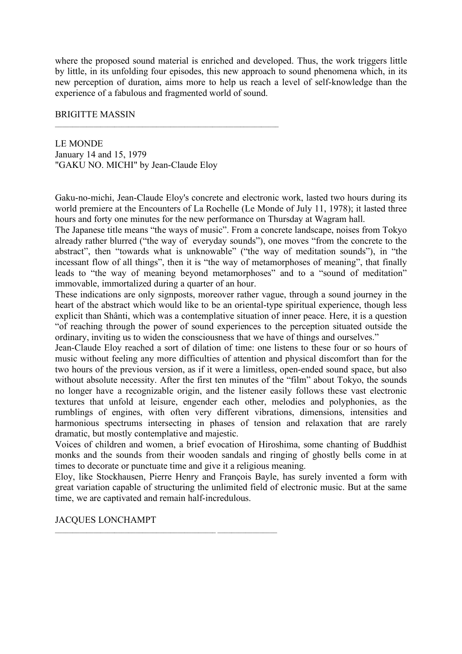where the proposed sound material is enriched and developed. Thus, the work triggers little by little, in its unfolding four episodes, this new approach to sound phenomena which, in its new perception of duration, aims more to help us reach a level of self-knowledge than the experience of a fabulous and fragmented world of sound.

#### BRIGITTE MASSIN

LE MONDE January 14 and 15, 1979 "GAKU NO. MICHI" by Jean-Claude Eloy

 $\mathcal{L}_\text{max} = \frac{1}{2} \sum_{i=1}^n \mathcal{L}_\text{max} = \frac{1}{2} \sum_{i=1}^n \mathcal{L}_\text{max} = \frac{1}{2} \sum_{i=1}^n \mathcal{L}_\text{max} = \frac{1}{2} \sum_{i=1}^n \mathcal{L}_\text{max} = \frac{1}{2} \sum_{i=1}^n \mathcal{L}_\text{max} = \frac{1}{2} \sum_{i=1}^n \mathcal{L}_\text{max} = \frac{1}{2} \sum_{i=1}^n \mathcal{L}_\text{max} = \frac{1}{2} \sum_{i=$ 

Gaku-no-michi, Jean-Claude Eloy's concrete and electronic work, lasted two hours during its world premiere at the Encounters of La Rochelle (Le Monde of July 11, 1978); it lasted three hours and forty one minutes for the new performance on Thursday at Wagram hall.

The Japanese title means "the ways of music". From a concrete landscape, noises from Tokyo already rather blurred ("the way of everyday sounds"), one moves "from the concrete to the abstract", then "towards what is unknowable" ("the way of meditation sounds"), in "the incessant flow of all things", then it is "the way of metamorphoses of meaning", that finally leads to "the way of meaning beyond metamorphoses" and to a "sound of meditation" immovable, immortalized during a quarter of an hour.

These indications are only signposts, moreover rather vague, through a sound journey in the heart of the abstract which would like to be an oriental-type spiritual experience, though less explicit than Shânti, which was a contemplative situation of inner peace. Here, it is a question "of reaching through the power of sound experiences to the perception situated outside the ordinary, inviting us to widen the consciousness that we have of things and ourselves."

Jean-Claude Eloy reached a sort of dilation of time: one listens to these four or so hours of music without feeling any more difficulties of attention and physical discomfort than for the two hours of the previous version, as if it were a limitless, open-ended sound space, but also without absolute necessity. After the first ten minutes of the "film" about Tokyo, the sounds no longer have a recognizable origin, and the listener easily follows these vast electronic textures that unfold at leisure, engender each other, melodies and polyphonies, as the rumblings of engines, with often very different vibrations, dimensions, intensities and harmonious spectrums intersecting in phases of tension and relaxation that are rarely dramatic, but mostly contemplative and majestic.

Voices of children and women, a brief evocation of Hiroshima, some chanting of Buddhist monks and the sounds from their wooden sandals and ringing of ghostly bells come in at times to decorate or punctuate time and give it a religious meaning.

Eloy, like Stockhausen, Pierre Henry and François Bayle, has surely invented a form with great variation capable of structuring the unlimited field of electronic music. But at the same time, we are captivated and remain half-incredulous.

## JACQUES LONCHAMPT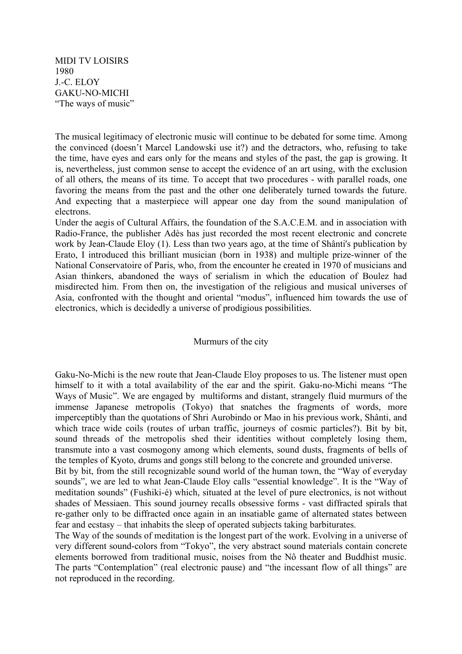MIDI TV LOISIRS 1980 J.-C. ELOY GAKU-NO-MICHI "The ways of music"

The musical legitimacy of electronic music will continue to be debated for some time. Among the convinced (doesn't Marcel Landowski use it?) and the detractors, who, refusing to take the time, have eyes and ears only for the means and styles of the past, the gap is growing. It is, nevertheless, just common sense to accept the evidence of an art using, with the exclusion of all others, the means of its time. To accept that two procedures - with parallel roads, one favoring the means from the past and the other one deliberately turned towards the future. And expecting that a masterpiece will appear one day from the sound manipulation of electrons.

Under the aegis of Cultural Affairs, the foundation of the S.A.C.E.M. and in association with Radio-France, the publisher Adès has just recorded the most recent electronic and concrete work by Jean-Claude Eloy (1). Less than two years ago, at the time of Shânti's publication by Erato, I introduced this brilliant musician (born in 1938) and multiple prize-winner of the National Conservatoire of Paris, who, from the encounter he created in 1970 of musicians and Asian thinkers, abandoned the ways of serialism in which the education of Boulez had misdirected him. From then on, the investigation of the religious and musical universes of Asia, confronted with the thought and oriental "modus", influenced him towards the use of electronics, which is decidedly a universe of prodigious possibilities.

## Murmurs of the city

Gaku-No-Michi is the new route that Jean-Claude Eloy proposes to us. The listener must open himself to it with a total availability of the ear and the spirit. Gaku-no-Michi means "The Ways of Music". We are engaged by multiforms and distant, strangely fluid murmurs of the immense Japanese metropolis (Tokyo) that snatches the fragments of words, more imperceptibly than the quotations of Shri Aurobindo or Mao in his previous work, Shânti, and which trace wide coils (routes of urban traffic, journeys of cosmic particles?). Bit by bit, sound threads of the metropolis shed their identities without completely losing them, transmute into a vast cosmogony among which elements, sound dusts, fragments of bells of the temples of Kyoto, drums and gongs still belong to the concrete and grounded universe.

Bit by bit, from the still recognizable sound world of the human town, the "Way of everyday sounds", we are led to what Jean-Claude Eloy calls "essential knowledge". It is the "Way of meditation sounds" (Fushiki-é) which, situated at the level of pure electronics, is not without shades of Messiaen. This sound journey recalls obsessive forms - vast diffracted spirals that re-gather only to be diffracted once again in an insatiable game of alternated states between fear and ecstasy – that inhabits the sleep of operated subjects taking barbiturates.

The Way of the sounds of meditation is the longest part of the work. Evolving in a universe of very different sound-colors from "Tokyo", the very abstract sound materials contain concrete elements borrowed from traditional music, noises from the Nô theater and Buddhist music. The parts "Contemplation" (real electronic pause) and "the incessant flow of all things" are not reproduced in the recording.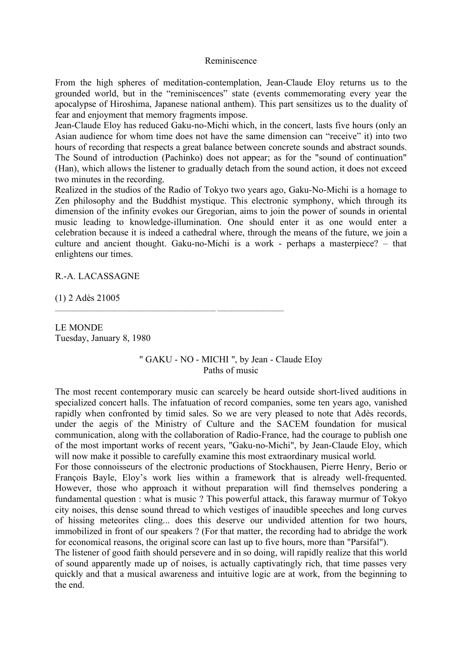#### Reminiscence

From the high spheres of meditation-contemplation, Jean-Claude Eloy returns us to the grounded world, but in the "reminiscences" state (events commemorating every year the apocalypse of Hiroshima, Japanese national anthem). This part sensitizes us to the duality of fear and enjoyment that memory fragments impose.

Jean-Claude Eloy has reduced Gaku-no-Michi which, in the concert, lasts five hours (only an Asian audience for whom time does not have the same dimension can "receive" it) into two hours of recording that respects a great balance between concrete sounds and abstract sounds. The Sound of introduction (Pachinko) does not appear; as for the "sound of continuation" (Han), which allows the listener to gradually detach from the sound action, it does not exceed two minutes in the recording.

Realized in the studios of the Radio of Tokyo two years ago, Gaku-No-Michi is a homage to Zen philosophy and the Buddhist mystique. This electronic symphony, which through its dimension of the infinity evokes our Gregorian, aims to join the power of sounds in oriental music leading to knowledge-illumination. One should enter it as one would enter a celebration because it is indeed a cathedral where, through the means of the future, we join a culture and ancient thought. Gaku-no-Michi is a work - perhaps a masterpiece? – that enlightens our times.

R.-A. LACASSAGNE

(1) 2 Adès 21005

LE MONDE Tuesday, January 8, 1980

> " GAKU - NO - MICHI ", by Jean - Claude EIoy Paths of music

The most recent contemporary music can scarcely be heard outside short-lived auditions in specialized concert halls. The infatuation of record companies, some ten years ago, vanished rapidly when confronted by timid sales. So we are very pleased to note that Adès records, under the aegis of the Ministry of Culture and the SACEM foundation for musical communication, along with the collaboration of Radio-France, had the courage to publish one of the most important works of recent years, "Gaku-no-Michi", by Jean-Claude Eloy, which will now make it possible to carefully examine this most extraordinary musical world.

For those connoisseurs of the electronic productions of Stockhausen, Pierre Henry, Berio or François Bayle, Eloy's work lies within a framework that is already well-frequented. However, those who approach it without preparation will find themselves pondering a fundamental question : what is music ? This powerful attack, this faraway murmur of Tokyo city noises, this dense sound thread to which vestiges of inaudible speeches and long curves of hissing meteorites cling... does this deserve our undivided attention for two hours, immobilized in front of our speakers ? (For that matter, the recording had to abridge the work for economical reasons, the original score can last up to five hours, more than "Parsifal").

The listener of good faith should persevere and in so doing, will rapidly realize that this world of sound apparently made up of noises, is actually captivatingly rich, that time passes very quickly and that a musical awareness and intuitive logic are at work, from the beginning to the end.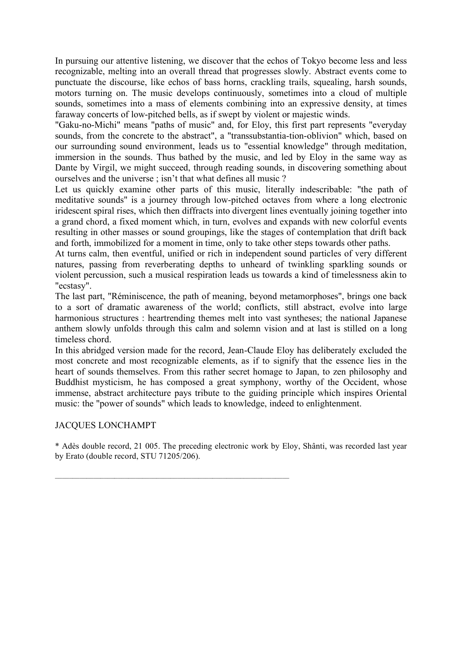In pursuing our attentive listening, we discover that the echos of Tokyo become less and less recognizable, melting into an overall thread that progresses slowly. Abstract events come to punctuate the discourse, like echos of bass horns, crackling trails, squealing, harsh sounds, motors turning on. The music develops continuously, sometimes into a cloud of multiple sounds, sometimes into a mass of elements combining into an expressive density, at times faraway concerts of low-pitched bells, as if swept by violent or majestic winds.

"Gaku-no-Michi" means "paths of music" and, for Eloy, this first part represents "everyday sounds, from the concrete to the abstract", a "transsubstantia-tion-oblivion" which, based on our surrounding sound environment, leads us to "essential knowledge" through meditation, immersion in the sounds. Thus bathed by the music, and led by Eloy in the same way as Dante by Virgil, we might succeed, through reading sounds, in discovering something about ourselves and the universe ; isn't that what defines all music ?

Let us quickly examine other parts of this music, literally indescribable: "the path of meditative sounds" is a journey through low-pitched octaves from where a long electronic iridescent spiral rises, which then diffracts into divergent lines eventually joining together into a grand chord, a fixed moment which, in turn, evolves and expands with new colorful events resulting in other masses or sound groupings, like the stages of contemplation that drift back and forth, immobilized for a moment in time, only to take other steps towards other paths.

At turns calm, then eventful, unified or rich in independent sound particles of very different natures, passing from reverberating depths to unheard of twinkling sparkling sounds or violent percussion, such a musical respiration leads us towards a kind of timelessness akin to "ecstasy".

The last part, "Réminiscence, the path of meaning, beyond metamorphoses", brings one back to a sort of dramatic awareness of the world; conflicts, still abstract, evolve into large harmonious structures : heartrending themes melt into vast syntheses; the national Japanese anthem slowly unfolds through this calm and solemn vision and at last is stilled on a long timeless chord.

In this abridged version made for the record, Jean-Claude Eloy has deliberately excluded the most concrete and most recognizable elements, as if to signify that the essence lies in the heart of sounds themselves. From this rather secret homage to Japan, to zen philosophy and Buddhist mysticism, he has composed a great symphony, worthy of the Occident, whose immense, abstract architecture pays tribute to the guiding principle which inspires Oriental music: the "power of sounds" which leads to knowledge, indeed to enlightenment.

## JACQUES LONCHAMPT

\* Adès double record, 21 005. The preceding electronic work by Eloy, Shânti, was recorded last year by Erato (double record, STU 71205/206).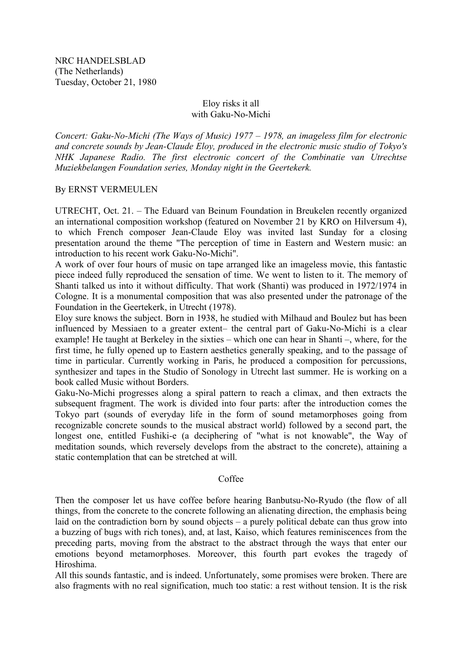## Eloy risks it all with Gaku-No-Michi

*Concert: Gaku-No-Michi (The Ways of Music) 1977 – 1978, an imageless film for electronic and concrete sounds by Jean-Claude Eloy, produced in the electronic music studio of Tokyo's NHK Japanese Radio. The first electronic concert of the Combinatie van Utrechtse Muziekbelangen Foundation series, Monday night in the Geertekerk.*

## By ERNST VERMEULEN

UTRECHT, Oct. 21. – The Eduard van Beinum Foundation in Breukelen recently organized an international composition workshop (featured on November 21 by KRO on Hilversum 4), to which French composer Jean-Claude Eloy was invited last Sunday for a closing presentation around the theme "The perception of time in Eastern and Western music: an introduction to his recent work Gaku-No-Michi".

A work of over four hours of music on tape arranged like an imageless movie, this fantastic piece indeed fully reproduced the sensation of time. We went to listen to it. The memory of Shanti talked us into it without difficulty. That work (Shanti) was produced in 1972/1974 in Cologne. It is a monumental composition that was also presented under the patronage of the Foundation in the Geertekerk, in Utrecht (1978).

Eloy sure knows the subject. Born in 1938, he studied with Milhaud and Boulez but has been influenced by Messiaen to a greater extent– the central part of Gaku-No-Michi is a clear example! He taught at Berkeley in the sixties – which one can hear in Shanti –, where, for the first time, he fully opened up to Eastern aesthetics generally speaking, and to the passage of time in particular. Currently working in Paris, he produced a composition for percussions, synthesizer and tapes in the Studio of Sonology in Utrecht last summer. He is working on a book called Music without Borders.

Gaku-No-Michi progresses along a spiral pattern to reach a climax, and then extracts the subsequent fragment. The work is divided into four parts: after the introduction comes the Tokyo part (sounds of everyday life in the form of sound metamorphoses going from recognizable concrete sounds to the musical abstract world) followed by a second part, the longest one, entitled Fushiki-e (a deciphering of "what is not knowable", the Way of meditation sounds, which reversely develops from the abstract to the concrete), attaining a static contemplation that can be stretched at will.

## Coffee

Then the composer let us have coffee before hearing Banbutsu-No-Ryudo (the flow of all things, from the concrete to the concrete following an alienating direction, the emphasis being laid on the contradiction born by sound objects – a purely political debate can thus grow into a buzzing of bugs with rich tones), and, at last, Kaiso, which features reminiscences from the preceding parts, moving from the abstract to the abstract through the ways that enter our emotions beyond metamorphoses. Moreover, this fourth part evokes the tragedy of Hiroshima.

All this sounds fantastic, and is indeed. Unfortunately, some promises were broken. There are also fragments with no real signification, much too static: a rest without tension. It is the risk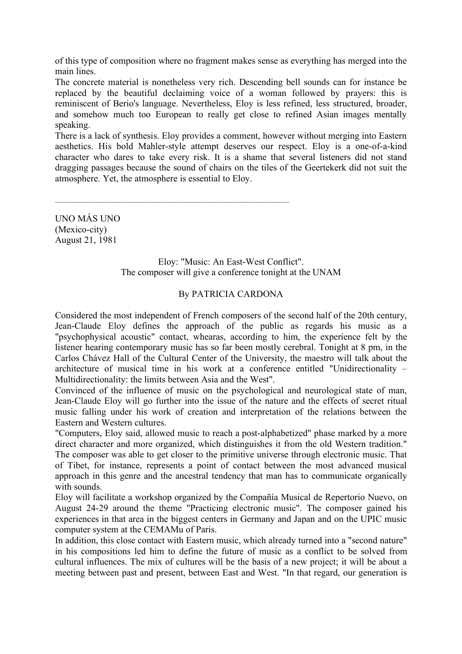of this type of composition where no fragment makes sense as everything has merged into the main lines.

The concrete material is nonetheless very rich. Descending bell sounds can for instance be replaced by the beautiful declaiming voice of a woman followed by prayers: this is reminiscent of Berio's language. Nevertheless, Eloy is less refined, less structured, broader, and somehow much too European to really get close to refined Asian images mentally speaking.

There is a lack of synthesis. Eloy provides a comment, however without merging into Eastern aesthetics. His bold Mahler-style attempt deserves our respect. Eloy is a one-of-a-kind character who dares to take every risk. It is a shame that several listeners did not stand dragging passages because the sound of chairs on the tiles of the Geertekerk did not suit the atmosphere. Yet, the atmosphere is essential to Eloy.

 $\mathcal{L}_\text{max} = \mathcal{L}_\text{max} = \mathcal{L}_\text{max} = \mathcal{L}_\text{max} = \mathcal{L}_\text{max} = \mathcal{L}_\text{max} = \mathcal{L}_\text{max} = \mathcal{L}_\text{max} = \mathcal{L}_\text{max} = \mathcal{L}_\text{max} = \mathcal{L}_\text{max} = \mathcal{L}_\text{max} = \mathcal{L}_\text{max} = \mathcal{L}_\text{max} = \mathcal{L}_\text{max} = \mathcal{L}_\text{max} = \mathcal{L}_\text{max} = \mathcal{L}_\text{max} = \mathcal{$ 

UNO MÁS UNO (Mexico-city) August 21, 1981

> Eloy: "Music: An East-West Conflict". The composer will give a conference tonight at the UNAM

## By PATRICIA CARDONA

Considered the most independent of French composers of the second half of the 20th century, Jean-Claude Eloy defines the approach of the public as regards his music as a "psychophysical acoustic" contact, whearas, according to him, the experience felt by the listener hearing contemporary music has so far been mostly cerebral. Tonight at 8 pm, in the Carlos Chávez Hall of the Cultural Center of the University, the maestro will talk about the architecture of musical time in his work at a conference entitled "Unidirectionality – Multidirectionality: the limits between Asia and the West".

Convinced of the influence of music on the psychological and neurological state of man, Jean-Claude Eloy will go further into the issue of the nature and the effects of secret ritual music falling under his work of creation and interpretation of the relations between the Eastern and Western cultures.

"Computers, Eloy said, allowed music to reach a post-alphabetized" phase marked by a more direct character and more organized, which distinguishes it from the old Western tradition." The composer was able to get closer to the primitive universe through electronic music. That of Tibet, for instance, represents a point of contact between the most advanced musical approach in this genre and the ancestral tendency that man has to communicate organically with sounds.

Eloy will facilitate a workshop organized by the Compañía Musical de Repertorio Nuevo, on August 24-29 around the theme "Practicing electronic music". The composer gained his experiences in that area in the biggest centers in Germany and Japan and on the UPIC music computer system at the CEMAMu of Paris.

In addition, this close contact with Eastern music, which already turned into a "second nature" in his compositions led him to define the future of music as a conflict to be solved from cultural influences. The mix of cultures will be the basis of a new project; it will be about a meeting between past and present, between East and West. "In that regard, our generation is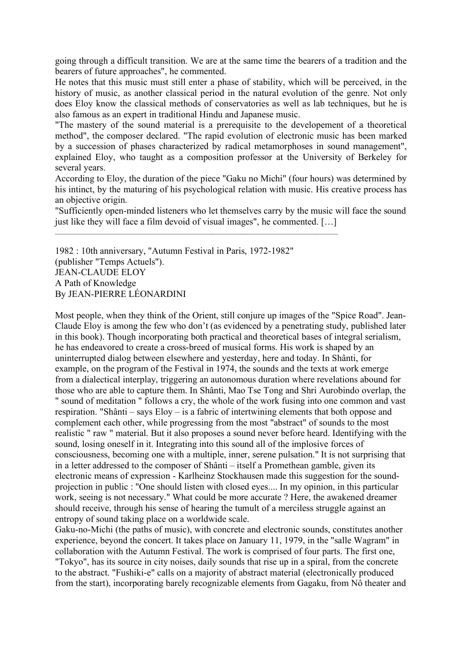going through a difficult transition. We are at the same time the bearers of a tradition and the bearers of future approaches", he commented.

He notes that this music must still enter a phase of stability, which will be perceived, in the history of music, as another classical period in the natural evolution of the genre. Not only does Eloy know the classical methods of conservatories as well as lab techniques, but he is also famous as an expert in traditional Hindu and Japanese music.

"The mastery of the sound material is a prerequisite to the developement of a theoretical method", the composer declared. "The rapid evolution of electronic music has been marked by a succession of phases characterized by radical metamorphoses in sound management", explained Eloy, who taught as a composition professor at the University of Berkeley for several years.

According to Eloy, the duration of the piece "Gaku no Michi" (four hours) was determined by his intinct, by the maturing of his psychological relation with music. His creative process has an objective origin.

"Sufficiently open-minded listeners who let themselves carry by the music will face the sound just like they will face a film devoid of visual images", he commented. […]

1982 : 10th anniversary, "Autumn Festival in Paris, 1972-1982" (publisher "Temps Actuels"). JEAN-CLAUDE ELOY A Path of Knowledge By JEAN-PIERRE LÉONARDINI

 $\mathcal{L}_\text{max}$ 

Most people, when they think of the Orient, still conjure up images of the "Spice Road". Jean-Claude Eloy is among the few who don't (as evidenced by a penetrating study, published later in this book). Though incorporating both practical and theoretical bases of integral serialism, he has endeavored to create a cross-breed of musical forms. His work is shaped by an uninterrupted dialog between elsewhere and yesterday, here and today. In Shânti, for example, on the program of the Festival in 1974, the sounds and the texts at work emerge from a dialectical interplay, triggering an autonomous duration where revelations abound for those who are able to capture them. In Shânti, Mao Tse Tong and Shri Aurobindo overlap, the " sound of meditation " follows a cry, the whole of the work fusing into one common and vast respiration. "Shânti – says Eloy – is a fabric of intertwining elements that both oppose and complement each other, while progressing from the most "abstract" of sounds to the most realistic " raw " material. But it also proposes a sound never before heard. Identifying with the sound, losing oneself in it. Integrating into this sound all of the implosive forces of consciousness, becoming one with a multiple, inner, serene pulsation." It is not surprising that in a letter addressed to the composer of Shânti – itself a Promethean gamble, given its electronic means of expression - Karlheinz Stockhausen made this suggestion for the soundprojection in public : "One should listen with closed eyes.... In my opinion, in this particular work, seeing is not necessary." What could be more accurate ? Here, the awakened dreamer should receive, through his sense of hearing the tumult of a merciless struggle against an entropy of sound taking place on a worldwide scale.

Gaku-no-Michi (the paths of music), with concrete and electronic sounds, constitutes another experience, beyond the concert. It takes place on January 11, 1979, in the "salle Wagram" in collaboration with the Autumn Festival. The work is comprised of four parts. The first one, "Tokyo", has its source in city noises, daily sounds that rise up in a spiral, from the concrete to the abstract. "Fushiki-e" calls on a majority of abstract material (electronically produced from the start), incorporating barely recognizable elements from Gagaku, from Nô theater and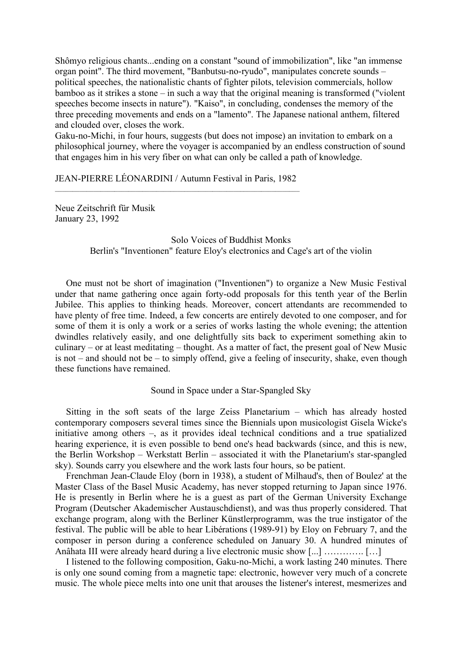Shômyo religious chants...ending on a constant "sound of immobilization", like "an immense organ point". The third movement, "Banbutsu-no-ryudo", manipulates concrete sounds – political speeches, the nationalistic chants of fighter pilots, television commercials, hollow bamboo as it strikes a stone – in such a way that the original meaning is transformed ("violent speeches become insects in nature"). "Kaiso", in concluding, condenses the memory of the three preceding movements and ends on a "lamento". The Japanese national anthem, filtered and clouded over, closes the work.

Gaku-no-Michi, in four hours, suggests (but does not impose) an invitation to embark on a philosophical journey, where the voyager is accompanied by an endless construction of sound that engages him in his very fiber on what can only be called a path of knowledge.

JEAN-PIERRE LÉONARDINI / Autumn Festival in Paris, 1982

Neue Zeitschrift für Musik January 23, 1992

> Solo Voices of Buddhist Monks Berlin's "Inventionen" feature Eloy's electronics and Cage's art of the violin

One must not be short of imagination ("Inventionen") to organize a New Music Festival under that name gathering once again forty-odd proposals for this tenth year of the Berlin Jubilee. This applies to thinking heads. Moreover, concert attendants are recommended to have plenty of free time. Indeed, a few concerts are entirely devoted to one composer, and for some of them it is only a work or a series of works lasting the whole evening; the attention dwindles relatively easily, and one delightfully sits back to experiment something akin to culinary – or at least meditating – thought. As a matter of fact, the present goal of New Music is not – and should not be – to simply offend, give a feeling of insecurity, shake, even though these functions have remained.

Sound in Space under a Star-Spangled Sky

Sitting in the soft seats of the large Zeiss Planetarium – which has already hosted contemporary composers several times since the Biennials upon musicologist Gisela Wicke's initiative among others –, as it provides ideal technical conditions and a true spatialized hearing experience, it is even possible to bend one's head backwards (since, and this is new, the Berlin Workshop – Werkstatt Berlin – associated it with the Planetarium's star-spangled sky). Sounds carry you elsewhere and the work lasts four hours, so be patient.

Frenchman Jean-Claude Eloy (born in 1938), a student of Milhaud's, then of Boulez' at the Master Class of the Basel Music Academy, has never stopped returning to Japan since 1976. He is presently in Berlin where he is a guest as part of the German University Exchange Program (Deutscher Akademischer Austauschdienst), and was thus properly considered. That exchange program, along with the Berliner Künstlerprogramm, was the true instigator of the festival. The public will be able to hear Libérations (1989-91) by Eloy on February 7, and the composer in person during a conference scheduled on January 30. A hundred minutes of Anâhata III were already heard during a live electronic music show [...] …………. […]

I listened to the following composition, Gaku-no-Michi, a work lasting 240 minutes. There is only one sound coming from a magnetic tape: electronic, however very much of a concrete music. The whole piece melts into one unit that arouses the listener's interest, mesmerizes and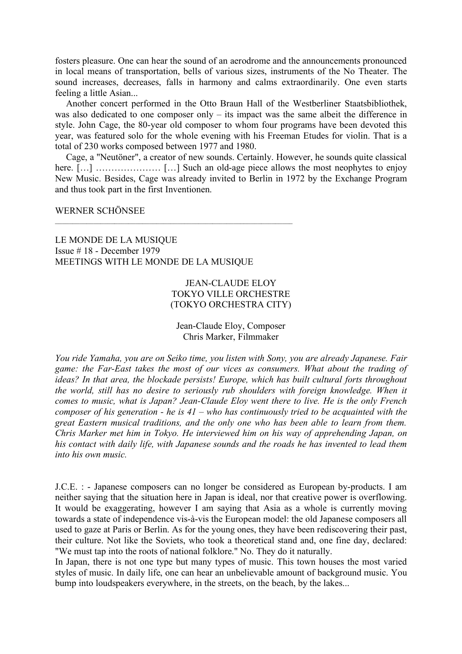fosters pleasure. One can hear the sound of an aerodrome and the announcements pronounced in local means of transportation, bells of various sizes, instruments of the No Theater. The sound increases, decreases, falls in harmony and calms extraordinarily. One even starts feeling a little Asian...

Another concert performed in the Otto Braun Hall of the Westberliner Staatsbibliothek, was also dedicated to one composer only – its impact was the same albeit the difference in style. John Cage, the 80-year old composer to whom four programs have been devoted this year, was featured solo for the whole evening with his Freeman Etudes for violin. That is a total of 230 works composed between 1977 and 1980.

Cage, a "Neutöner", a creator of new sounds. Certainly. However, he sounds quite classical here. [...] ……………………… [...] Such an old-age piece allows the most neophytes to enjoy New Music. Besides, Cage was already invited to Berlin in 1972 by the Exchange Program and thus took part in the first Inventionen.

#### WERNER SCHÖNSEE

LE MONDE DE LA MUSIQUE Issue # 18 - December 1979 MEETINGS WITH LE MONDE DE LA MUSIQUE

## JEAN-CLAUDE ELOY TOKYO VILLE ORCHESTRE (TOKYO ORCHESTRA CITY)

#### Jean-Claude Eloy, Composer Chris Marker, Filmmaker

*You ride Yamaha, you are on Seiko time, you listen with Sony, you are already Japanese. Fair game: the Far-East takes the most of our vices as consumers. What about the trading of ideas? In that area, the blockade persists! Europe, which has built cultural forts throughout the world, still has no desire to seriously rub shoulders with foreign knowledge. When it comes to music, what is Japan? Jean-Claude Eloy went there to live. He is the only French composer of his generation - he is 41 – who has continuously tried to be acquainted with the great Eastern musical traditions, and the only one who has been able to learn from them. Chris Marker met him in Tokyo. He interviewed him on his way of apprehending Japan, on his contact with daily life, with Japanese sounds and the roads he has invented to lead them into his own music.*

J.C.E. : - Japanese composers can no longer be considered as European by-products. I am neither saying that the situation here in Japan is ideal, nor that creative power is overflowing. It would be exaggerating, however I am saying that Asia as a whole is currently moving towards a state of independence vis-à-vis the European model: the old Japanese composers all used to gaze at Paris or Berlin. As for the young ones, they have been rediscovering their past, their culture. Not like the Soviets, who took a theoretical stand and, one fine day, declared: "We must tap into the roots of national folklore." No. They do it naturally.

In Japan, there is not one type but many types of music. This town houses the most varied styles of music. In daily life, one can hear an unbelievable amount of background music. You bump into loudspeakers everywhere, in the streets, on the beach, by the lakes...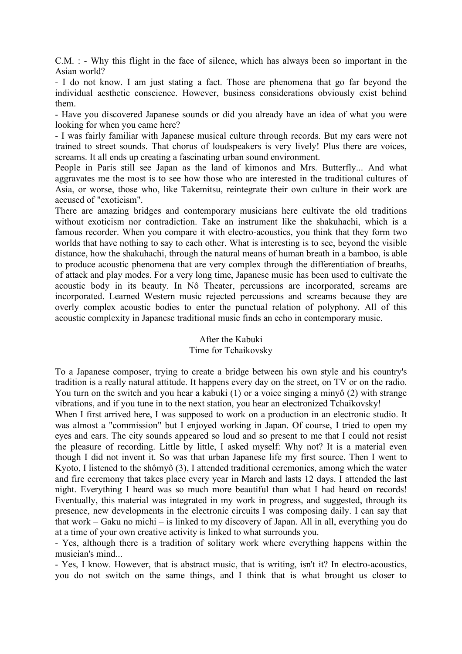C.M. : - Why this flight in the face of silence, which has always been so important in the Asian world?

- I do not know. I am just stating a fact. Those are phenomena that go far beyond the individual aesthetic conscience. However, business considerations obviously exist behind them.

- Have you discovered Japanese sounds or did you already have an idea of what you were looking for when you came here?

- I was fairly familiar with Japanese musical culture through records. But my ears were not trained to street sounds. That chorus of loudspeakers is very lively! Plus there are voices, screams. It all ends up creating a fascinating urban sound environment.

People in Paris still see Japan as the land of kimonos and Mrs. Butterfly... And what aggravates me the most is to see how those who are interested in the traditional cultures of Asia, or worse, those who, like Takemitsu, reintegrate their own culture in their work are accused of "exoticism".

There are amazing bridges and contemporary musicians here cultivate the old traditions without exoticism nor contradiction. Take an instrument like the shakuhachi, which is a famous recorder. When you compare it with electro-acoustics, you think that they form two worlds that have nothing to say to each other. What is interesting is to see, beyond the visible distance, how the shakuhachi, through the natural means of human breath in a bamboo, is able to produce acoustic phenomena that are very complex through the differentiation of breaths, of attack and play modes. For a very long time, Japanese music has been used to cultivate the acoustic body in its beauty. In Nô Theater, percussions are incorporated, screams are incorporated. Learned Western music rejected percussions and screams because they are overly complex acoustic bodies to enter the punctual relation of polyphony. All of this acoustic complexity in Japanese traditional music finds an echo in contemporary music.

## After the Kabuki Time for Tchaikovsky

To a Japanese composer, trying to create a bridge between his own style and his country's tradition is a really natural attitude. It happens every day on the street, on TV or on the radio. You turn on the switch and you hear a kabuki (1) or a voice singing a minyô (2) with strange vibrations, and if you tune in to the next station, you hear an electronized Tchaikovsky!

When I first arrived here, I was supposed to work on a production in an electronic studio. It was almost a "commission" but I enjoyed working in Japan. Of course, I tried to open my eyes and ears. The city sounds appeared so loud and so present to me that I could not resist the pleasure of recording. Little by little, I asked myself: Why not? It is a material even though I did not invent it. So was that urban Japanese life my first source. Then I went to Kyoto, I listened to the shômyô (3), I attended traditional ceremonies, among which the water and fire ceremony that takes place every year in March and lasts 12 days. I attended the last night. Everything I heard was so much more beautiful than what I had heard on records! Eventually, this material was integrated in my work in progress, and suggested, through its presence, new developments in the electronic circuits I was composing daily. I can say that that work – Gaku no michi – is linked to my discovery of Japan. All in all, everything you do at a time of your own creative activity is linked to what surrounds you.

- Yes, although there is a tradition of solitary work where everything happens within the musician's mind...

- Yes, I know. However, that is abstract music, that is writing, isn't it? In electro-acoustics, you do not switch on the same things, and I think that is what brought us closer to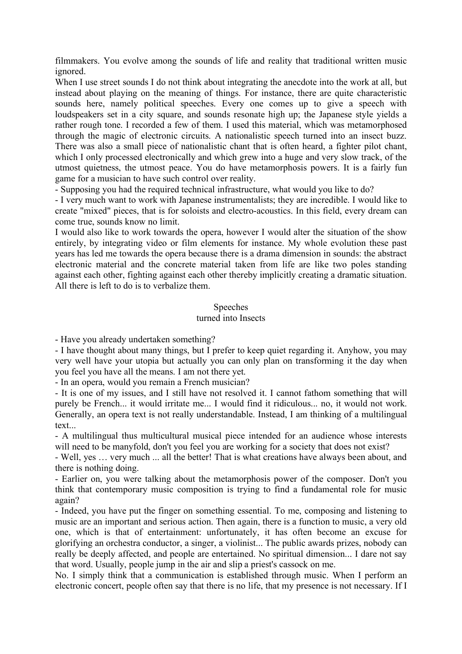filmmakers. You evolve among the sounds of life and reality that traditional written music ignored.

When I use street sounds I do not think about integrating the anecdote into the work at all, but instead about playing on the meaning of things. For instance, there are quite characteristic sounds here, namely political speeches. Every one comes up to give a speech with loudspeakers set in a city square, and sounds resonate high up; the Japanese style yields a rather rough tone. I recorded a few of them. I used this material, which was metamorphosed through the magic of electronic circuits. A nationalistic speech turned into an insect buzz. There was also a small piece of nationalistic chant that is often heard, a fighter pilot chant, which I only processed electronically and which grew into a huge and very slow track, of the utmost quietness, the utmost peace. You do have metamorphosis powers. It is a fairly fun game for a musician to have such control over reality.

- Supposing you had the required technical infrastructure, what would you like to do?

- I very much want to work with Japanese instrumentalists; they are incredible. I would like to create "mixed" pieces, that is for soloists and electro-acoustics. In this field, every dream can come true, sounds know no limit.

I would also like to work towards the opera, however I would alter the situation of the show entirely, by integrating video or film elements for instance. My whole evolution these past years has led me towards the opera because there is a drama dimension in sounds: the abstract electronic material and the concrete material taken from life are like two poles standing against each other, fighting against each other thereby implicitly creating a dramatic situation. All there is left to do is to verbalize them.

#### **Speeches**

#### turned into Insects

- Have you already undertaken something?

- I have thought about many things, but I prefer to keep quiet regarding it. Anyhow, you may very well have your utopia but actually you can only plan on transforming it the day when you feel you have all the means. I am not there yet.

- In an opera, would you remain a French musician?

- It is one of my issues, and I still have not resolved it. I cannot fathom something that will purely be French... it would irritate me... I would find it ridiculous... no, it would not work. Generally, an opera text is not really understandable. Instead, I am thinking of a multilingual text...

- A multilingual thus multicultural musical piece intended for an audience whose interests will need to be manyfold, don't you feel you are working for a society that does not exist?

- Well, yes … very much ... all the better! That is what creations have always been about, and there is nothing doing.

- Earlier on, you were talking about the metamorphosis power of the composer. Don't you think that contemporary music composition is trying to find a fundamental role for music again?

- Indeed, you have put the finger on something essential. To me, composing and listening to music are an important and serious action. Then again, there is a function to music, a very old one, which is that of entertainment: unfortunately, it has often become an excuse for glorifying an orchestra conductor, a singer, a violinist... The public awards prizes, nobody can really be deeply affected, and people are entertained. No spiritual dimension... I dare not say that word. Usually, people jump in the air and slip a priest's cassock on me.

No. I simply think that a communication is established through music. When I perform an electronic concert, people often say that there is no life, that my presence is not necessary. If I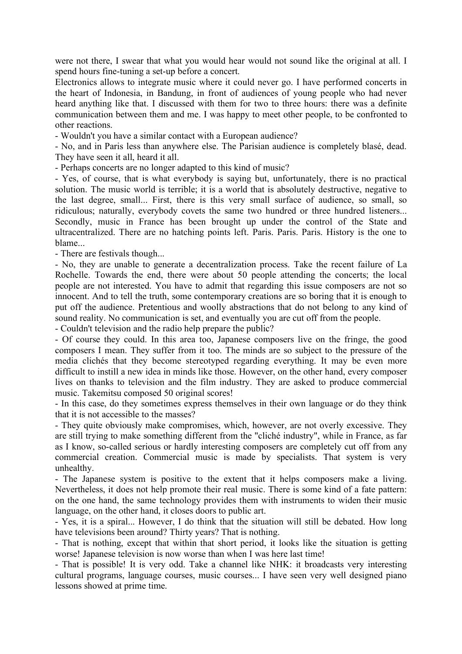were not there, I swear that what you would hear would not sound like the original at all. I spend hours fine-tuning a set-up before a concert.

Electronics allows to integrate music where it could never go. I have performed concerts in the heart of Indonesia, in Bandung, in front of audiences of young people who had never heard anything like that. I discussed with them for two to three hours: there was a definite communication between them and me. I was happy to meet other people, to be confronted to other reactions.

- Wouldn't you have a similar contact with a European audience?

- No, and in Paris less than anywhere else. The Parisian audience is completely blasé, dead. They have seen it all, heard it all.

- Perhaps concerts are no longer adapted to this kind of music?

- Yes, of course, that is what everybody is saying but, unfortunately, there is no practical solution. The music world is terrible; it is a world that is absolutely destructive, negative to the last degree, small... First, there is this very small surface of audience, so small, so ridiculous; naturally, everybody covets the same two hundred or three hundred listeners... Secondly, music in France has been brought up under the control of the State and ultracentralized. There are no hatching points left. Paris. Paris. Paris. History is the one to blame

- There are festivals though...

- No, they are unable to generate a decentralization process. Take the recent failure of La Rochelle. Towards the end, there were about 50 people attending the concerts; the local people are not interested. You have to admit that regarding this issue composers are not so innocent. And to tell the truth, some contemporary creations are so boring that it is enough to put off the audience. Pretentious and woolly abstractions that do not belong to any kind of sound reality. No communication is set, and eventually you are cut off from the people.

- Couldn't television and the radio help prepare the public?

- Of course they could. In this area too, Japanese composers live on the fringe, the good composers I mean. They suffer from it too. The minds are so subject to the pressure of the media clichés that they become stereotyped regarding everything. It may be even more difficult to instill a new idea in minds like those. However, on the other hand, every composer lives on thanks to television and the film industry. They are asked to produce commercial music. Takemitsu composed 50 original scores!

- In this case, do they sometimes express themselves in their own language or do they think that it is not accessible to the masses?

- They quite obviously make compromises, which, however, are not overly excessive. They are still trying to make something different from the "cliché industry", while in France, as far as I know, so-called serious or hardly interesting composers are completely cut off from any commercial creation. Commercial music is made by specialists. That system is very unhealthy.

- The Japanese system is positive to the extent that it helps composers make a living. Nevertheless, it does not help promote their real music. There is some kind of a fate pattern: on the one hand, the same technology provides them with instruments to widen their music language, on the other hand, it closes doors to public art.

- Yes, it is a spiral... However, I do think that the situation will still be debated. How long have televisions been around? Thirty years? That is nothing.

- That is nothing, except that within that short period, it looks like the situation is getting worse! Japanese television is now worse than when I was here last time!

- That is possible! It is very odd. Take a channel like NHK: it broadcasts very interesting cultural programs, language courses, music courses... I have seen very well designed piano lessons showed at prime time.